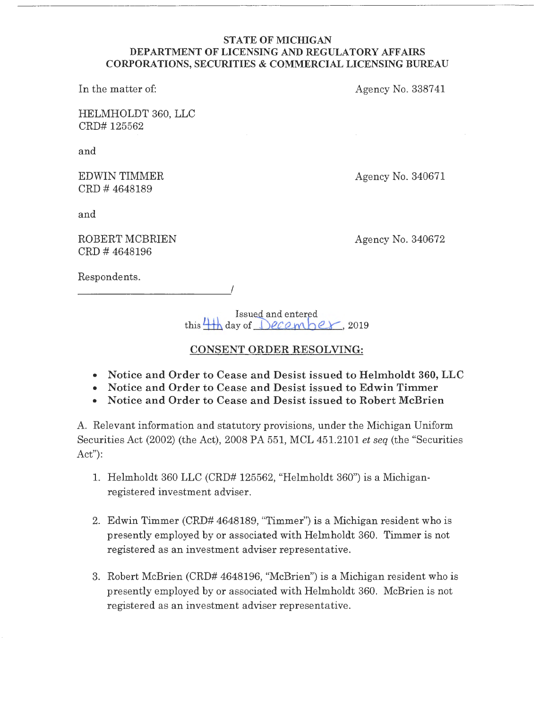#### **STATE OF MICHIGAN DEPARTMENT OF LICENSING AND REGULATORY AFFAIRS CORPORATIONS, SECURITIES** & **COMMERCIAL LICENSING BUREAU**

In the matter of:

Agency No. 3387 41

HELMHOLDT 360, LLC CRD# 125562

and

EDWIN TIMMER CRD # 4648189

Agency No. 340671

and

ROBERT MCBRIEN CRD # 4648196

*\_\_\_\_\_\_\_\_\_\_ !* 

Agency No. 340672

Respondents.

Issued and entered  $t$ his  $\frac{1}{1}$  day of  $\frac{1}{2}$   $e^{\frac{1}{2}t}$ , 2019

# **CONSENT ORDER RESOLVING:**

- **Notice and Order to Cease and Desist issued to Helmholdt 360, LLC**
- **Notice and Order to Cease and Desist issued to Edwin Timmer**
- **Notice and Order to Cease and Desist issued to Robert McBrien**

A. Relevant information and statutory provisions, under the Michigan Uniform Securities Act (2002) (the Act), 2008 PA 551, MCL 451.2101 *et seq* (the "Securities Act"):

- 1. Helmholdt 360 LLC (CRD# 125562, "Helmholdt 360") is a Michiganregistered investment adviser.
- 2. Edwin Timmer (CRD# 4648189, "Timmer") is a Michigan resident who is presently employed by or associated with Helmholdt 360. Timmer is not registered as an investment adviser representative.
- 3. Robert McBrien (CRD# 4648196, "McBrien") is a Michigan resident who is presently employed by or associated with Helmholdt 360. McBrien is not registered as an investment adviser representative.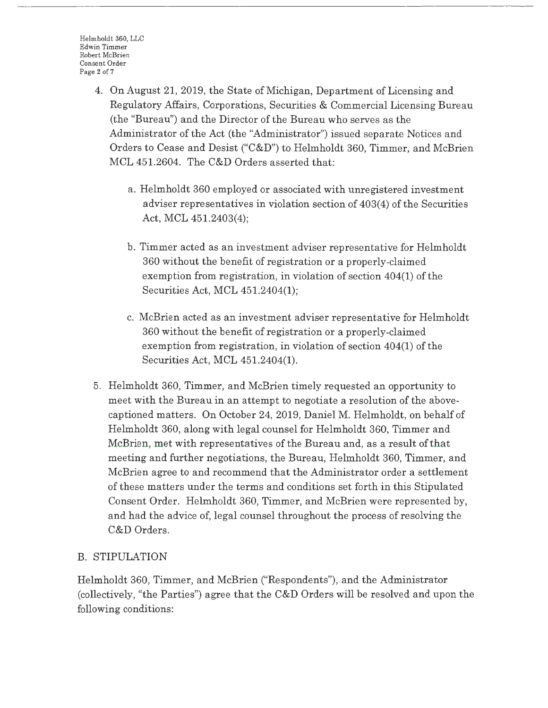- 4. On August 21, 2019, the State of Michigan, Department of Licensing and Regulatory Affairs, Corporations, Securities & Commercial Licensing Bureau (the "Bureau") and the Director of the Bureau who serves as the Administrator of the Act (the "Administrator") issued separate Notices and Orders to Cease and Desist ("C&D") to Helmholdt 360, Timmer, and McBrien MCL 451.2604. The C&D Orders asserted that:
	- <sup>a</sup> . Helmholdt 360 employed or associated with unregistered investment adviser representatives in violation section of 403(4) of the Securities Act, MCL 451.2403(4);
	- b. Timmer acted as an investment adviser representative for Helmholdt 360 without the benefit of registration or a properly-claimed exemption from registration, in violation of section 404(1) of the Securities Act, MCL 451.2404(1);
	- c. McBrien acted as an investment adviser representative for Helmholdt 360 without the benefit of registration or a properly-claimed exemption from registration, in violation of section 404(1) of the Securities Act, MCL 451.2404(1).
- 5. Helmholdt 360, Timmer, and McBrien timely requested an opportunity to meet with the Bureau in an attempt to negotiate a resolution of the abovecaptioned matters. On October 24, 2019, Daniel M. Helmholdt, on behalf of Helmholdt 360, along with legal counsel for Helmholdt 360, Timmer and McBrien, met with representatives of the Bureau and, as a result of that meeting and further negotiations, the Bureau, Helmholdt 360, Timmer, and McBrien agree to and recommend that the Administrator order a settlement of these matters under the terms and conditions set forth in this Stipulated Consent Order. Helmholdt 360, Timmer, and McBrien were represented by, and had the advice of, legal counsel throughout the process of resolving the C&D Orders.

# B. STIPULATION

Helmholdt 360, Timmer, and McBrien ("Respondents"), and the Administrator (collectively, "the Parties") agree that the C&D Orders will be resolved and upon the following conditions: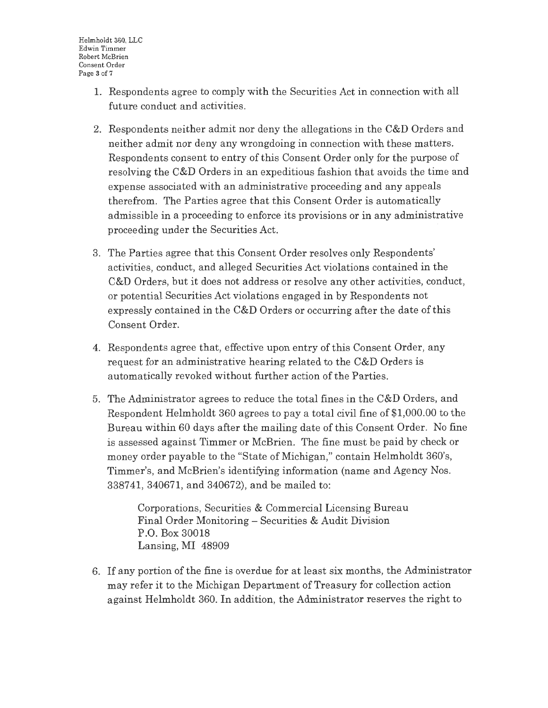- 1. Respondents agree to comply with the Securities Act in connection with all future conduct and activities.
- 2. Respondents neither admit nor deny the allegations in the C&D Orders and neither admit nor deny any wrongdoing in connection with these matters. Respondents consent to entry of this Consent Order only for the purpose of resolving the C&D Orders in an expeditious fashion that avoids the time and expense associated with an administrative proceeding and any appeals therefrom. The Parties agree that this Consent Order is automatically admissible in a proceeding to enforce its provisions or in any administrative proceeding under the Securities Act.
- 3. The Parties agree that this Consent Order resolves only Respondents' activities, conduct, and alleged Securities Act violations contained in the C&D Orders, but it does not address or resolve any other activities, conduct, or potential Securities Act violations engaged in by Respondents not expressly contained in the C&D Orders or occurring after the date of this Consent Order.
- 4. Respondents agree that, effective upon entry of this Consent Order, any request for an administrative hearing related to the C&D Orders is automatically revoked without further action of the Parties.
- 5. The Administrator agrees to reduce the total fines in the C&D Orders, and Respondent Helmholdt 360 agrees to pay a total civil fine of \$1,000.00 to the Bureau within 60 days after the mailing date of this Consent Order. No fine is assessed against Timmer or McBrien. The fine must be paid by check or money order payable to the "State of Michigan," contain Helmholdt 360's, Timmer's, and McBrien's identifying information (name and Agency Nos. 338741, 340671, and 340672), and be mailed to:

Corporations, Securities & Commercial Licensing Bureau Final Order Monitoring - Securities & Audit Division P.O. Box 30018 Lansing, MI 48909

6. If any portion of the fine is overdue for at least six months, the Administrator may refer it to the Michigan Department of Treasury for collection action against Helmholdt 360. In addition, the Administrator reserves the right to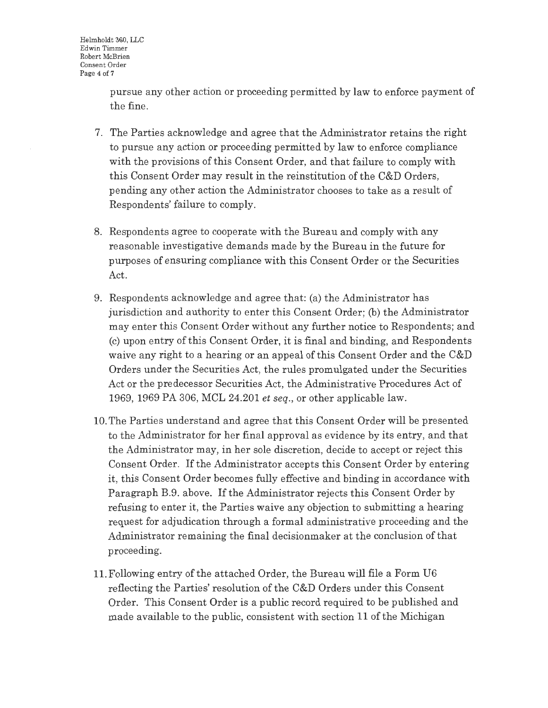pursue any other action or proceeding permitted by **law** to enforce payment of the fine.

- 7. The Parties acknowledge and agree that the Administrator retains the right to pursue any action or proceeding permitted by law to enforce compliance with the provisions of this Consent Order, and that failure to comply with this Consent Order may result in the reinstitution of the C&D Orders, pending any other action the Administrator chooses to take as a result of Respondents' failure to comply.
- 8. Respondents agree to cooperate with the Bureau and comply with any reasonable investigative demands made by the Bureau in the future for purposes of ensuring compliance with this Consent Order or the Securities Act.
- 9. Respondents acknowledge and agree that: (a) the Administrator has jurisdiction and authority to enter this Consent Order; (b) the Administrator may enter this Consent Order without any further notice to Respondents; and (c) upon entry of this Consent Order, it is final and binding, and Respondents waive any right to a hearing or an appeal of this Consent Order and the C&D Orders under the Securities Act, the rules promulgated under the Securities Act or the predecessor Securities Act, the Administrative Procedures Act of 1969, 1969 PA 306, MCL 24.201 *et seq.,* or other applicable law.
- 10. The Parties understand and agree that this Consent Order will be presented to the Administrator for her final approval as evidence by its entry, and that the Administrator may, in her sole discretion, decide to accept or reject this Consent Order. If the Administrator accepts this Consent Order by entering it, this Consent Order becomes fully effective and binding in accordance with Paragraph B.9. above. If the Administrator rejects this Consent Order by refusing to enter it, the Parties waive any objection to submitting a hearing request for adjudication through a formal administrative proceeding and the Administrator remaining the final decisionmaker at the conclusion of that proceeding.
- 11. Following entry of the attached Order, the Bureau will file a Form U6 reflecting the Parties' resolution of the C&D Orders under this Consent Order. This Consent Order is a public record required to be published and made available to the public, consistent with section 11 of the Michigan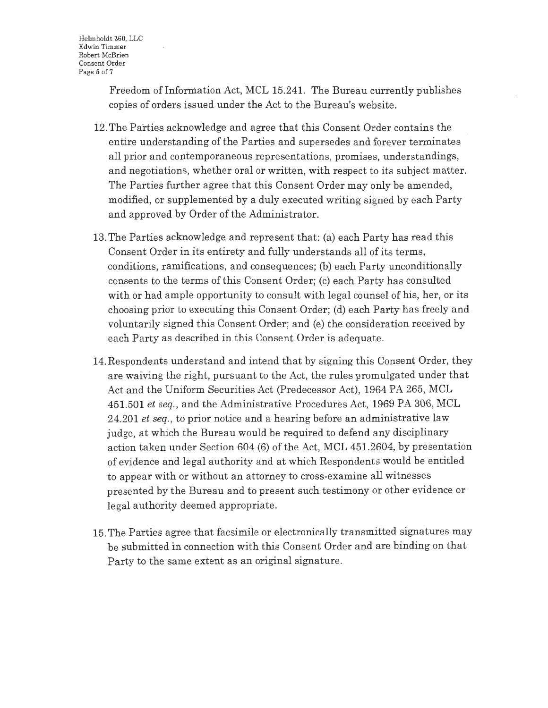Freedom of Information Act, MCL 15.241. The Bureau currently publishes copies of orders issued under the Act to the Bureau's website.

- 12. The Parties acknowledge and agree that this Consent Order contains the entire understanding of the Parties and supersedes and forever terminates all prior and contemporaneous representations, promises, understandings, and negotiations, whether oral or written, with respect to its subject matter. The Parties further agree that this Consent Order may only be amended, modified, or supplemented by a duly executed writing signed by each Party and approved by Order of the Administrator.
- 13. The Parties acknowledge and represent that: (a) each Party has read this Consent Order in its entirety and fully understands all of its terms, conditions, ramifications, and consequences; (b) each Party unconditionally consents to the terms of this Consent Order; (c) each Party has consulted with or had ample opportunity to consult with legal counsel of his, her, or its choosing prior to executing this Consent Order; (d) each Party has freely and voluntarily signed this Consent Order; and (e) the consideration received by each Party as described in this Consent Order is adequate.
- 14. Respondents understand and intend that by signing this Consent Order, they are waiving the right, pursuant to the Act, the rules promulgated under that Act and the Uniform Securities Act (Predecessor Act), 1964 PA 265, MCL 451.501 *et seq.,* and the Administrative Procedures Act, 1969 PA 306, MCL 24.201 *et seq.,* to prior notice and a hearing before an administrative law judge, at which the Bureau would be required to defend any disciplinary action taken under Section 604 (6) of the Act, MCL 451.2604, by presentation of evidence and legal authority and at which Respondents would be entitled to appear with or without an attorney to cross-examine all witnesses presented by the Bureau and to present such testimony or other evidence or legal authority deemed appropriate.
- 15. The Parties agree that facsimile or electronically transmitted signatures may be submitted in connection with this Consent Order and are binding on that Party to the same extent as an original signature.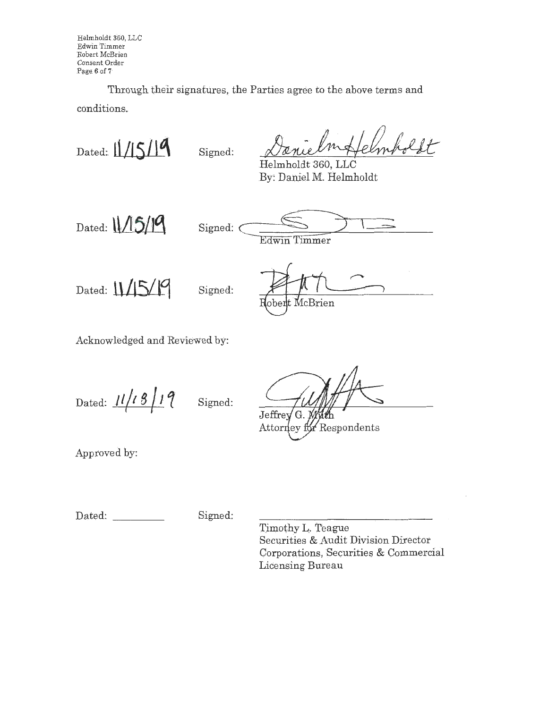Helmholdt 360, LLC Edwin Timmer Robert McBrien Consent Order .Page 6 of 7,

Through their signatures, the Parties agree to the above, terms and conditions.

Dated:  $\frac{1}{5}$  **Signed:** 

Helmholdt 360, LLC By: Daniel M. Helmholdt

Dated: **\\/5/19** 

Signed: (

Edwin Timmer

Dated:  $11/15/19$  Signed:

McBrien  ${\rm ober}$ 

Acknowledged and Reviewed by:

Dated:  $11/18/19$  Signed:

Jeffrey

Respondents Attorney fo

Approved by:

Dated: \_\_\_\_\_\_\_\_\_ Signed:

'I'imothy L. Teague Securities & Audit Division Director Corporations, Securities & Commercial Licensing Bureau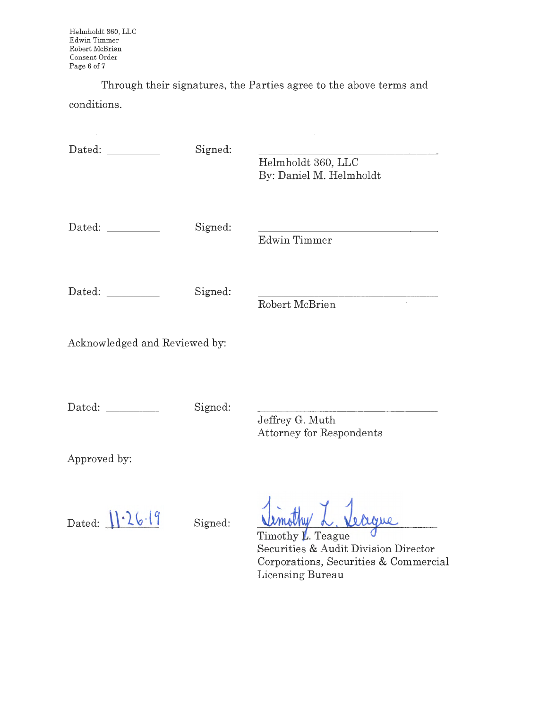Through their signatures, the Parties agree to the above terms and conditions.

| Dated: <u>New York Barner</u> | Signed: | Helmholdt 360, LLC<br>By: Daniel M. Helmholdt                                                                          |
|-------------------------------|---------|------------------------------------------------------------------------------------------------------------------------|
|                               | Signed: | Edwin Timmer                                                                                                           |
| Dated: ___________            | Signed: | Robert McBrien<br>$\mathcal{L}$                                                                                        |
| Acknowledged and Reviewed by: |         |                                                                                                                        |
|                               | Signed: | Jeffrey G. Muth<br><b>Attorney for Respondents</b>                                                                     |
| Approved by:                  |         |                                                                                                                        |
| Dated: $1.26.19$              | Signed: | Timothy L. Teague<br>Securities & Audit Division Director<br>Corporations, Securities & Commercial<br>Licensing Bureau |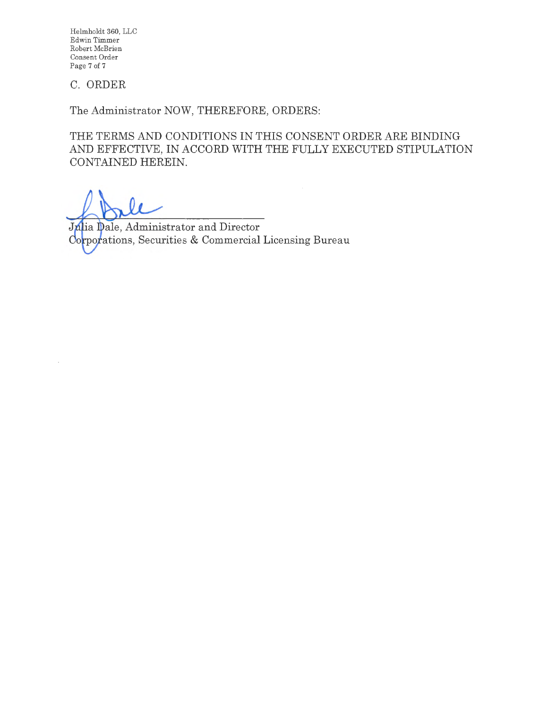Helmholdt 360, LLC Edwin Timmer Robert McBrien Consent Order Page 7 of 7

## C. ORDER

The Administrator NOW, THEREFORE, ORDERS:

THE TERMS AND CONDITIONS IN THIS CONSENT ORDER ARE BINDING AND EFFECTIVE, IN ACCORD WITH THE FULLY EXECUTED STIPULATION CONTAINED HEREIN.

Julia Dale, Administrator and Director Corporations, Securities & Commercial Licensing Bureau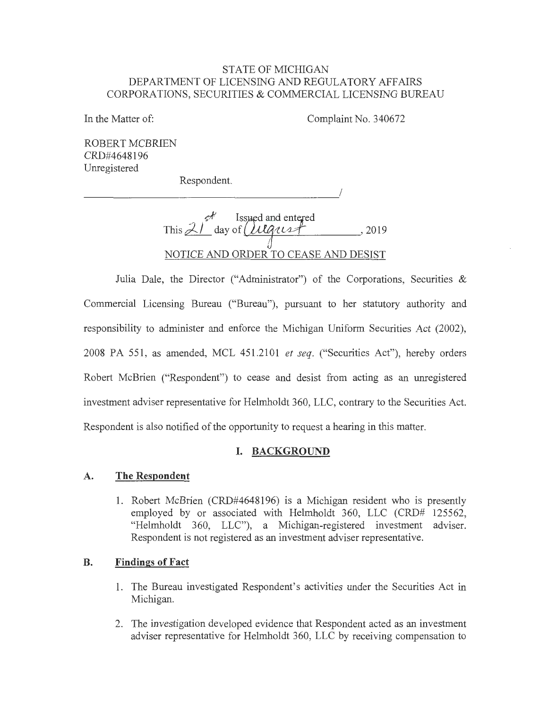#### STATE OF MICHIGAN DEPARTMENT OF LICENSING AND REGULATORY AFFAIRS CORPORATIONS, SECURITIES & COMMERCIAL LICENSING BUREAU

In the Matter of: Complaint No. 340672

I

ROBERT MCBRIEN CRD#4648196 Umegistered

Respondent.

 $\frac{1}{8}$ This  $\angle I$  day of  $\angle UQ\angle 127$ , 2019 NOTICE AND ORDER TO CEASE AND DESIST

Julia Dale, the Director ("Administrator") of the Corporations, Securities & Commercial Licensing Bureau ("Bureau"), pursuant to her statutory authority and responsibility to administer and enforce the Michigan Uniform Securities Act (2002), 2008 PA 551, as amended, MCL 451.2101 *et seq.* ("Securities Act"), hereby orders Robert McBrien ("Respondent") to cease and desist from acting as an umegistered investment adviser representative for Helmholdt 360, LLC, contrary to the Securities Act. Respondent is also notified of the opportunity to request a hearing in this matter.

## **I. BACKGROUND**

#### **A. The Respondent**

1. Robert McBrien (CRD#4648196) is a Michigan resident who is presently employed by or associated with Helmholdt 360, LLC (CRD# 125562, "Helmholdt 360, LLC"), a Michigan-registered investment adviser. Respondent is not registered as an investment adviser representative.

#### **B. Findings of Fact**

- 1. The Bureau investigated Respondent's activities under the Securities Act in Michigan.
- 2. The investigation developed evidence that Respondent acted as an investment adviser representative for Helmholdt 360, LLC by receiving compensation to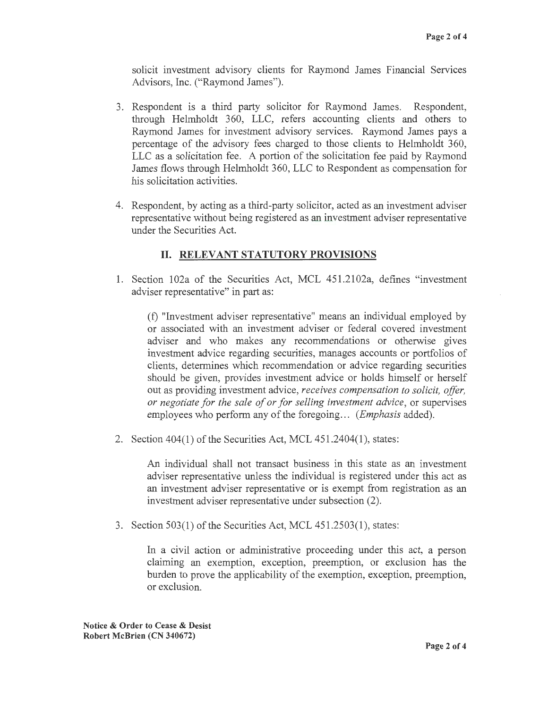solicit investment advisory clients for Raymond James Financial Services Advisors, Inc. ("Raymond James").

- 3. Respondent is a third party solicitor for Raymond James. Respondent, through Helmholdt 360, LLC, refers accounting clients and others to Raymond James for investment advisory services. Raymond James pays a percentage of the advisory fees charged to those clients to Helmholdt 360, LLC as a solicitation fee . A portion of the solicitation fee paid by Raymond James flows through Helmholdt 360, LLC to Respondent as compensation for his solicitation activities.
- 4. Respondent, by acting as a third-party solicitor, acted as an investment adviser representative without being registered as an investment adviser representative under the Securities Act.

### II. **RELEVANT STATUTORY PROVISIONS**

1. Section 102a of the Securities Act, MCL 451.2102a, defines "investment adviser representative" in part as:

(f) "Investment adviser representative" means an individual employed by or associated with an investment adviser or federal covered investment adviser and who makes any recommendations or otherwise gives investment advice regarding securities, manages accounts or portfolios of clients, determines which recommendation or advice regarding securities should be given, provides investment advice or holds himself or herself out as providing investment advice, *receives compensation to solicit, offer, or negotiate for the sale of or for selling investment advice,* or supervises employees who perform any of the foregoing ... *(Emphasis* added).

2. Section 404(1) of the Securities Act, MCL 451.2404(1), states:

An individual shall not transact business in this state as an investment adviser representative unless the individual is registered under this act as an investment adviser representative or is exempt from registration as an investment adviser representative under subsection (2).

3. Section 503(1) of the Securities Act, MCL 451.2503(1), states:

In a civil action or administrative proceeding under this act, a person claiming an exemption, exception, preemption, or exclusion has the burden to prove the applicability of the exemption, exception, preemption, or exclusion.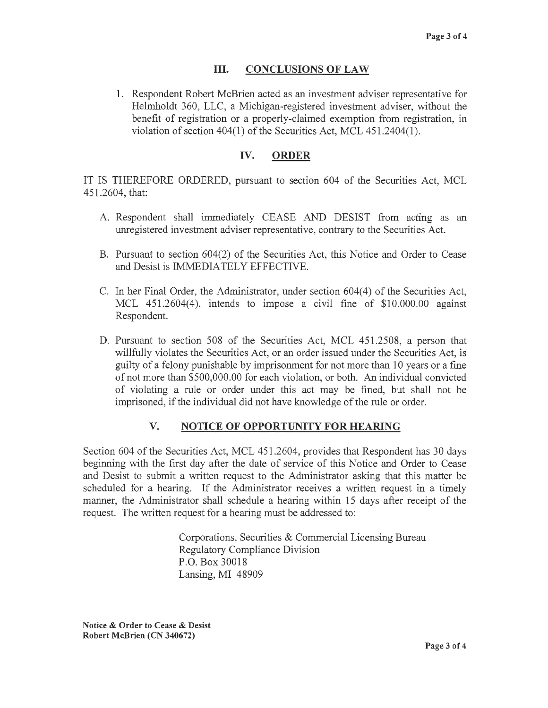### III. **CONCLUSIONS OF LAW**

1. Respondent Robert McBrien acted as an investment adviser representative for Helmholdt 360, LLC, a Michigan-registered investment adviser, without the benefit of registration or a properly-claimed exemption from registration, in violation of section 404(1) of the Securities Act, MCL 451.2404(1).

## **IV. ORDER**

IT IS THEREFORE ORDERED, pursuant to section 604 of the Securities Act, MCL 451.2604, that:

- A. Respondent shall immediately CEASE AND DESIST from acting as an unregistered investment adviser representative, contrary to the Securities Act.
- B. Pursuant to section 604(2) of the Securities Act, this Notice and Order to Cease and Desist is IMMEDIATELY EFFECTIVE.
- C. In her Final Order, the Administrator, under section 604(4) of the Securities Act, MCL 451.2604(4), intends to impose a civil fine of \$10,000.00 against Respondent.
- D. Pursuant to section 508 of the Securities Act, MCL 451.2508, a person that willfully violates the Securities Act, or an order issued under the Securities Act, is guilty of a felony punishable by imprisonment for not more than 10 years or a fine of not more than \$500,000.00 for each violation, or both. An individual convicted of violating a rule or order under this act may be fined, but shall not be imprisoned, if the individual did not have knowledge of the rule or order.

## **V. NOTICE OF OPPORTUNITY FOR HEARING**

Section 604 of the Securities Act, MCL 451.2604, provides that Respondent has 30 days beginning with the first day after the date of service of this Notice and Order to Cease and Desist to submit a written request to the Administrator asking that this matter be scheduled for a hearing. If the Administrator receives a written request in a timely manner, the Administrator shall schedule a hearing within 15 days after receipt of the request. The written request for a hearing must be addressed to:

> Corporations, Securities & Commercial Licensing Bureau Regulatory Compliance Division P.O. Box 30018 Lansing, MI 48909

**Notice** & **Order to Cease** & **Desist Robert McBrien (CN 340672)**